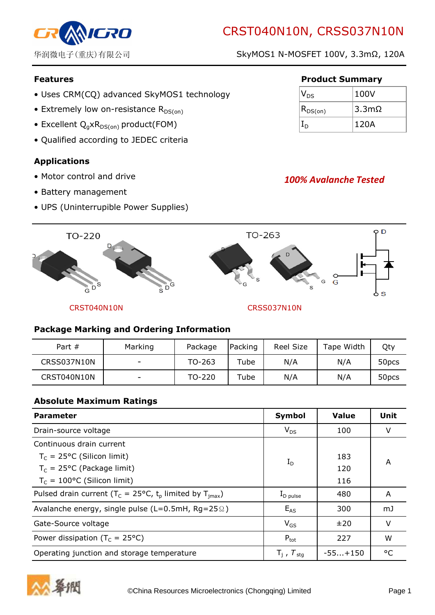# CRST040N10N, CRSS037N10N



华润微电子(重庆)有限公司 SkyMOS1 N-MOSFET 100V, 3.3mΩ, 120A

- Uses CRM(CQ) advanced SkyMOS1 technology
- Extremely low on-resistance  $R_{DS(on)}$
- Excellent  $Q_q \times R_{DS(on)}$  product(FOM)
- Qualified according to JEDEC criteria

# Applications

- Motor control and drive
- Battery management
- UPS (Uninterrupible Power Supplies)

## Features **Product Summary**

| $\mathsf{V}_{\mathsf{DS}}$ | 100V  |
|----------------------------|-------|
| $ R_{DS(on)} $             | 3.3mΩ |
|                            | 120A  |

# 100% Avalanche Tested



## Package Marking and Ordering Information

| Part $#$    | Marking | Package | Packing | Reel Size | Tape Width | Qty               |
|-------------|---------|---------|---------|-----------|------------|-------------------|
| CRSS037N10N | -       | TO-263  | Tube    | N/A       | N/A        | 50 <sub>pcs</sub> |
| CRST040N10N | ۰       | TO-220  | Tube    | N/A       | N/A        | 50 <sub>pcs</sub> |

#### Absolute Maximum Ratings

| <b>Parameter</b>                                                                           | Symbol                   | <b>Value</b> | Unit |
|--------------------------------------------------------------------------------------------|--------------------------|--------------|------|
| Drain-source voltage                                                                       | $V_{DS}$                 | 100          | V    |
| Continuous drain current                                                                   |                          |              |      |
| $T_c$ = 25°C (Silicon limit)                                                               | $I_D$                    | 183          | A    |
| $T_c = 25$ °C (Package limit)                                                              |                          | 120          |      |
| $T_c = 100$ °C (Silicon limit)                                                             |                          | 116          |      |
| Pulsed drain current ( $T_c = 25^{\circ}C$ , t <sub>p</sub> limited by $T_{\text{imax}}$ ) | $I_{\text{D pulse}}$     | 480          | A    |
| Avalanche energy, single pulse ( $L=0.5$ mH, Rg=25 $\Omega$ )                              | $E_{AS}$                 | 300          | mJ   |
| Gate-Source voltage                                                                        | $V_{GS}$                 | ±20          | V    |
| Power dissipation ( $T_c = 25^{\circ}C$ )                                                  | $P_{\text{tot}}$         | 227          | W    |
| Operating junction and storage temperature                                                 | $T_i$ , $T_{\text{stq}}$ | $-55+150$    | ۰ς   |

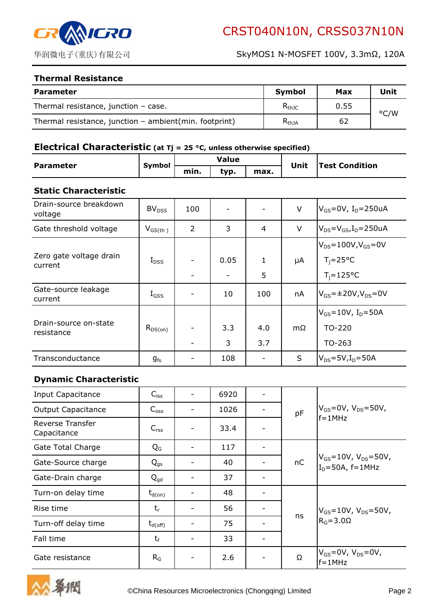

#### Thermal Resistance

| <b>Parameter</b>                                       | <b>Symbol</b> | Max  | Unit          |
|--------------------------------------------------------|---------------|------|---------------|
| Thermal resistance, junction $-$ case.                 | $R_{thJC}$    | 0.55 | $\degree$ C/W |
| Thermal resistance, junction - ambient(min. footprint) | $R_{thJA}$    | 62   |               |

#### Electrical Characteristic (at  $Tj = 25$  °C, unless otherwise specified)

| <b>Parameter</b> | <b>Symbol</b> |                      | Value |  | Unit | <b>Test Condition</b> |
|------------------|---------------|----------------------|-------|--|------|-----------------------|
|                  |               | typ.<br>min.<br>max. |       |  |      |                       |

#### Static Characteristic

| Drain-source breakdown<br>voltage   | BV <sub>DSS</sub> | 100            |      |              | $\vee$ | $V_{GS}$ =0V, I <sub>D</sub> =250uA  |
|-------------------------------------|-------------------|----------------|------|--------------|--------|--------------------------------------|
| Gate threshold voltage              | $V_{GS(th)}$      | $\overline{2}$ | 3    | 4            | $\vee$ | $V_{DS} = V_{GS}I_D = 250uA$         |
|                                     |                   |                |      |              |        | $V_{DS} = 100V, V_{GS} = 0V$         |
| Zero gate voltage drain<br>current  | $I_{DSS}$         |                | 0.05 | $\mathbf{1}$ | μA     | $T_i = 25^{\circ}C$                  |
|                                     |                   |                |      | 5            |        | $T_i = 125$ °C                       |
| Gate-source leakage<br>current      | $I_{GSS}$         |                | 10   | 100          | nA     | $V_{GS}$ =±20V,V <sub>DS</sub> =0V   |
|                                     |                   |                |      |              |        | $V_{GS} = 10V$ , I <sub>D</sub> =50A |
| Drain-source on-state<br>resistance | $R_{DS(on)}$      |                | 3.3  | 4.0          | mΩ     | TO-220                               |
|                                     |                   |                | 3    | 3.7          |        | TO-263                               |
| Transconductance                    | $g_{\mathsf{fs}}$ |                | 108  |              | S      | $V_{DS}$ =5V,I <sub>D</sub> =50A     |

#### Dynamic Characteristic

| Input Capacitance               | $C_{iss}$           | 6920 |  |    |                                                               |
|---------------------------------|---------------------|------|--|----|---------------------------------------------------------------|
| <b>Output Capacitance</b>       | $C_{\text{oss}}$    | 1026 |  | pF | $V_{GS} = 0V$ , $V_{DS} = 50V$ ,                              |
| Reverse Transfer<br>Capacitance | $C_{\text{rss}}$    | 33.4 |  |    | $f = 1MHz$                                                    |
| Gate Total Charge               | $Q_{G}$             | 117  |  |    |                                                               |
| Gate-Source charge              | $Q_{gs}$            | 40   |  | nC | $V_{GS} = 10V$ , $V_{DS} = 50V$ ,<br>$I_D = 50A$ , $f = 1MHz$ |
| Gate-Drain charge               | $Q_{qd}$            | 37   |  |    |                                                               |
| Turn-on delay time              | $t_{d(on)}$         | 48   |  |    |                                                               |
| Rise time                       | $t_{r}$             | 56   |  |    | $V_{GS} = 10V$ , $V_{DS} = 50V$ ,<br>$RG=3.0\Omega$           |
| Turn-off delay time             | $t_{d(\text{off})}$ | 75   |  | ns |                                                               |
| Fall time                       | $t_f$               | 33   |  |    |                                                               |
| Gate resistance                 | $R_G$               | 2.6  |  | Ω  | $V_{GS}$ =0V, $V_{DS}$ =0V,<br>$f = 1$ MHz                    |

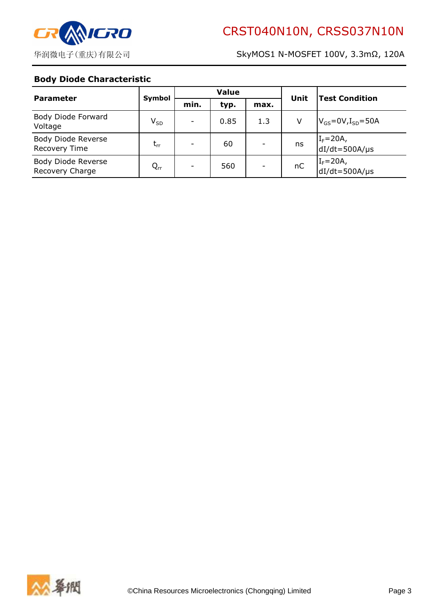

#### Body Diode Characteristic

| <b>Parameter</b>                           | Symbol   | <b>Value</b> |      |                          | Unit | <b>Test Condition</b>                                        |  |
|--------------------------------------------|----------|--------------|------|--------------------------|------|--------------------------------------------------------------|--|
|                                            |          | min.         | typ. | max.                     |      |                                                              |  |
| Body Diode Forward<br>Voltage              | $V_{SD}$ |              | 0.85 | 1.3                      | V    | $V_{GS}$ =0V, $I_{SD}$ =50A                                  |  |
| Body Diode Reverse<br><b>Recovery Time</b> | $t_{rr}$ |              | 60   |                          | ns   | $I_F = 20A$ ,<br>dI/dt=500A/µs                               |  |
| Body Diode Reverse<br>Recovery Charge      | $Q_{rr}$ |              | 560  | $\overline{\phantom{0}}$ | nC   | $\begin{cases} I_F = 20A, \\ dI/dt = 500A/\mu s \end{cases}$ |  |

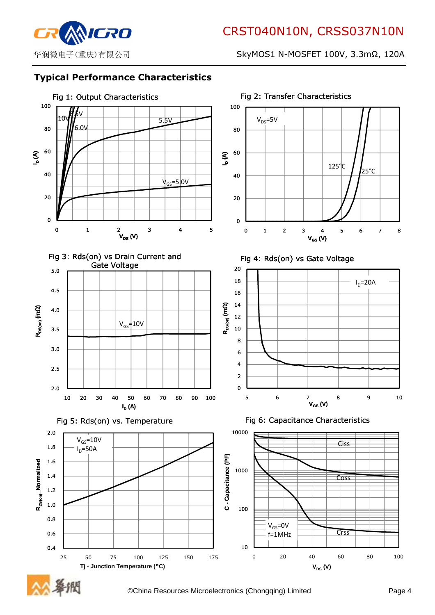

# Typical Performance Characteristics



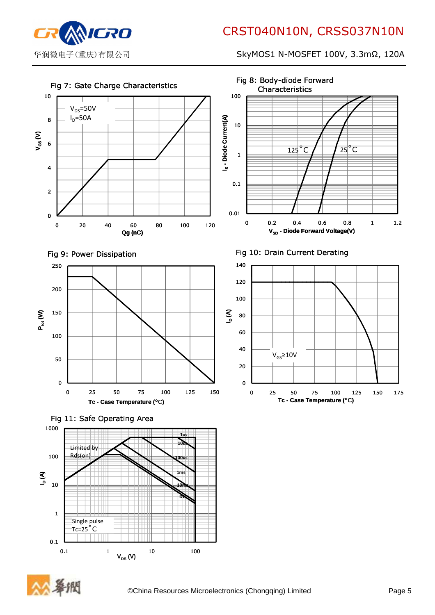

0.1

华润微电子(重庆)有限公司 SkyMOS1 N-MOSFET 100V, 3.3mΩ, 120A



0.1 1 10 100

 $V_{DS}$   $(V)$ 

Ш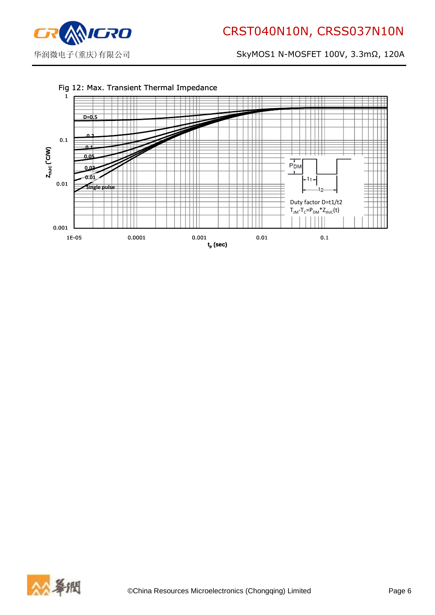WICRO

## 华润微电子(重庆)有限公司 SkyMOS1 N-MOSFET 100V, 3.3mΩ, 120A



#### Fig 12: Max. Transient Thermal Impedance

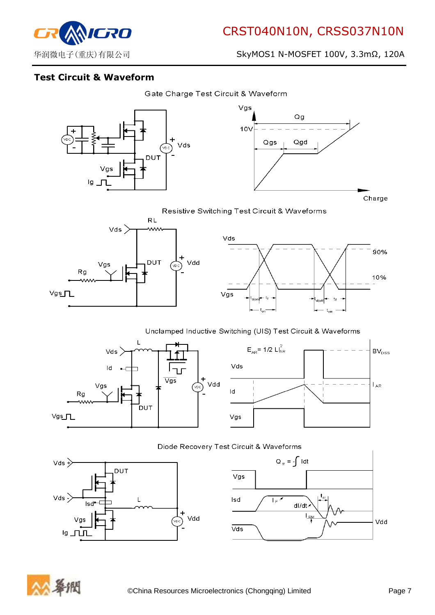

# Test Circuit & Waveform





90%

10%

Resistive Switching Test Circuit & Waveforms



#### Unclamped Inductive Switching (UIS) Test Circuit & Waveforms





 $t_1$ 

 ${\rm t_{off}}$ 





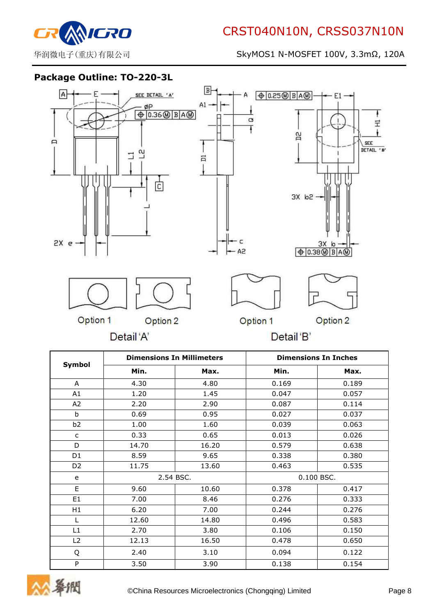

# Package Outline: TO-220-3L



|                |           | <b>Dimensions In Millimeters</b> |            | <b>Dimensions In Inches</b> |
|----------------|-----------|----------------------------------|------------|-----------------------------|
| Symbol         | Min.      | Max.                             | Min.       | Max.                        |
| A              | 4.30      | 4.80                             | 0.169      | 0.189                       |
| A1             | 1.20      | 1.45                             | 0.047      | 0.057                       |
| A <sub>2</sub> | 2.20      | 2.90                             | 0.087      | 0.114                       |
| b              | 0.69      | 0.95                             | 0.027      | 0.037                       |
| b <sub>2</sub> | 1.00      | 1.60                             | 0.039      | 0.063                       |
| $\mathsf{C}$   | 0.33      | 0.65                             | 0.013      | 0.026                       |
| D              | 14.70     | 16.20                            | 0.579      | 0.638                       |
| D1             | 8.59      | 9.65                             | 0.338      | 0.380                       |
| D <sub>2</sub> | 11.75     | 13.60                            | 0.463      | 0.535                       |
| e              | 2.54 BSC. |                                  | 0.100 BSC. |                             |
| E.             | 9.60      | 10.60                            | 0.378      | 0.417                       |
| E1             | 7.00      | 8.46                             | 0.276      | 0.333                       |
| H1             | 6.20      | 7.00                             | 0.244      | 0.276                       |
| L              | 12.60     | 14.80                            | 0.496      | 0.583                       |
| L1             | 2.70      | 3.80                             | 0.106      | 0.150                       |
| L2             | 12.13     | 16.50                            | 0.478      | 0.650                       |
| Q              | 2.40      | 3.10                             | 0.094      | 0.122                       |
| P              | 3.50      | 3.90                             | 0.138      | 0.154                       |

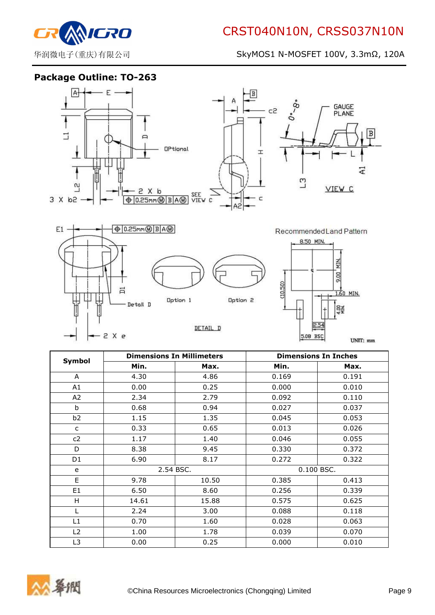

Package Outline: TO-263



Option 1

- Detall D

 $-2 \times e$ 

DETAIL D

Option 2



UNIT: mm

| Symbol         |           | <b>Dimensions In Millimeters</b> |            | <b>Dimensions In Inches</b> |
|----------------|-----------|----------------------------------|------------|-----------------------------|
|                | Min.      | Max.                             | Min.       | Max.                        |
| A              | 4.30      | 4.86                             | 0.169      | 0.191                       |
| A1             | 0.00      | 0.25                             | 0.000      | 0.010                       |
| A <sub>2</sub> | 2.34      | 2.79                             | 0.092      | 0.110                       |
| b              | 0.68      | 0.94                             | 0.027      | 0.037                       |
| b <sub>2</sub> | 1.15      | 1.35                             | 0.045      | 0.053                       |
| $\mathsf{C}$   | 0.33      | 0.65                             | 0.013      | 0.026                       |
| c2             | 1.17      | 1.40                             | 0.046      | 0.055                       |
| D              | 8.38      | 9.45                             | 0.330      | 0.372                       |
| D <sub>1</sub> | 6.90      | 8.17                             | 0.272      | 0.322                       |
| e              | 2.54 BSC. |                                  | 0.100 BSC. |                             |
| E.             | 9.78      | 10.50                            | 0.385      | 0.413                       |
| E1             | 6.50      | 8.60                             | 0.256      | 0.339                       |
| H.             | 14.61     | 15.88                            | 0.575      | 0.625                       |
| L              | 2.24      | 3.00                             | 0.088      | 0.118                       |
| L1             | 0.70      | 1.60                             | 0.028      | 0.063                       |
| L2             | 1.00      | 1.78                             | 0.039      | 0.070                       |
| L3             | 0.00      | 0.25                             | 0.000      | 0.010                       |